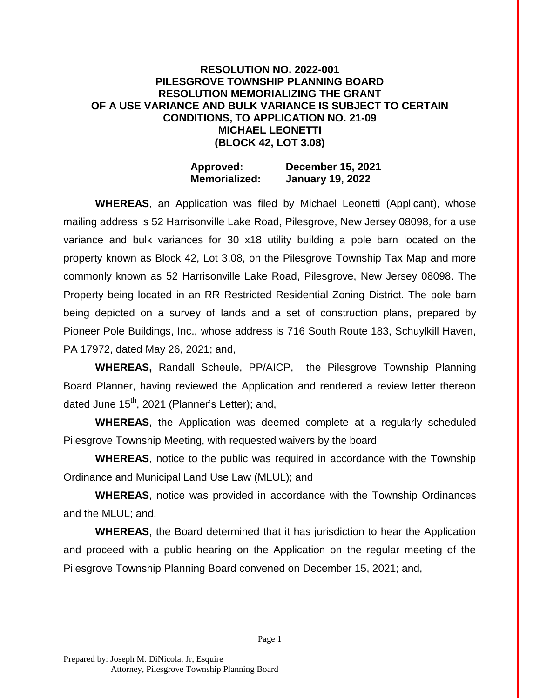## **RESOLUTION NO. 2022-001 PILESGROVE TOWNSHIP PLANNING BOARD RESOLUTION MEMORIALIZING THE GRANT OF A USE VARIANCE AND BULK VARIANCE IS SUBJECT TO CERTAIN CONDITIONS, TO APPLICATION NO. 21-09 MICHAEL LEONETTI (BLOCK 42, LOT 3.08)**

## **Approved: December 15, 2021 Memorialized: January 19, 2022**

**WHEREAS**, an Application was filed by Michael Leonetti (Applicant), whose mailing address is 52 Harrisonville Lake Road, Pilesgrove, New Jersey 08098, for a use variance and bulk variances for 30 x18 utility building a pole barn located on the property known as Block 42, Lot 3.08, on the Pilesgrove Township Tax Map and more commonly known as 52 Harrisonville Lake Road, Pilesgrove, New Jersey 08098. The Property being located in an RR Restricted Residential Zoning District. The pole barn being depicted on a survey of lands and a set of construction plans, prepared by Pioneer Pole Buildings, Inc., whose address is 716 South Route 183, Schuylkill Haven, PA 17972, dated May 26, 2021; and,

**WHEREAS,** Randall Scheule, PP/AICP, the Pilesgrove Township Planning Board Planner, having reviewed the Application and rendered a review letter thereon dated June  $15<sup>th</sup>$ , 2021 (Planner's Letter); and,

**WHEREAS**, the Application was deemed complete at a regularly scheduled Pilesgrove Township Meeting, with requested waivers by the board

**WHEREAS**, notice to the public was required in accordance with the Township Ordinance and Municipal Land Use Law (MLUL); and

**WHEREAS**, notice was provided in accordance with the Township Ordinances and the MLUL; and,

**WHEREAS**, the Board determined that it has jurisdiction to hear the Application and proceed with a public hearing on the Application on the regular meeting of the Pilesgrove Township Planning Board convened on December 15, 2021; and,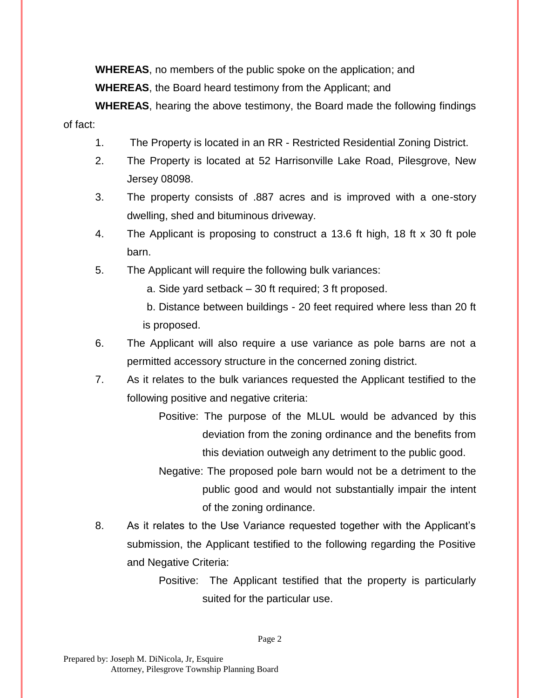**WHEREAS**, no members of the public spoke on the application; and **WHEREAS**, the Board heard testimony from the Applicant; and

**WHEREAS**, hearing the above testimony, the Board made the following findings of fact:

- 1. The Property is located in an RR Restricted Residential Zoning District.
- 2. The Property is located at 52 Harrisonville Lake Road, Pilesgrove, New Jersey 08098.
- 3. The property consists of .887 acres and is improved with a one-story dwelling, shed and bituminous driveway.
- 4. The Applicant is proposing to construct a 13.6 ft high, 18 ft x 30 ft pole barn.
- 5. The Applicant will require the following bulk variances:

a. Side yard setback – 30 ft required; 3 ft proposed.

b. Distance between buildings - 20 feet required where less than 20 ft is proposed.

- 6. The Applicant will also require a use variance as pole barns are not a permitted accessory structure in the concerned zoning district.
- 7. As it relates to the bulk variances requested the Applicant testified to the following positive and negative criteria:
	- Positive: The purpose of the MLUL would be advanced by this deviation from the zoning ordinance and the benefits from this deviation outweigh any detriment to the public good.
	- Negative: The proposed pole barn would not be a detriment to the public good and would not substantially impair the intent of the zoning ordinance.
- 8. As it relates to the Use Variance requested together with the Applicant's submission, the Applicant testified to the following regarding the Positive and Negative Criteria:
	- Positive: The Applicant testified that the property is particularly suited for the particular use.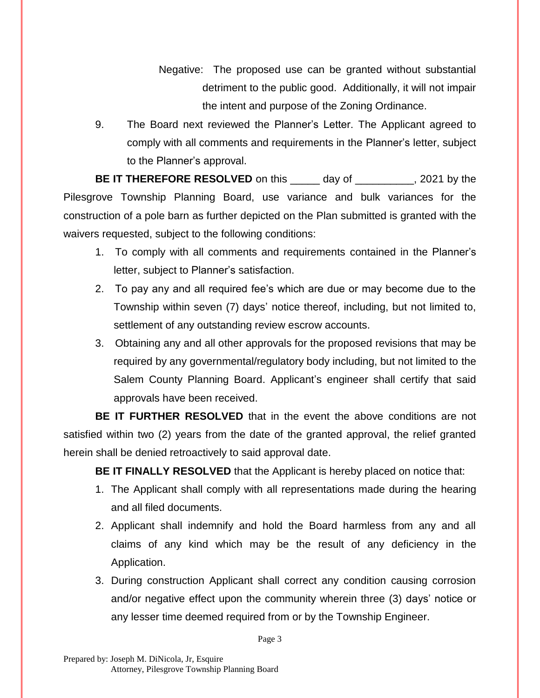Negative: The proposed use can be granted without substantial detriment to the public good. Additionally, it will not impair the intent and purpose of the Zoning Ordinance.

9. The Board next reviewed the Planner's Letter. The Applicant agreed to comply with all comments and requirements in the Planner's letter, subject to the Planner's approval.

**BE IT THEREFORE RESOLVED** on this \_\_\_\_\_ day of \_\_\_\_\_\_\_\_\_, 2021 by the Pilesgrove Township Planning Board, use variance and bulk variances for the construction of a pole barn as further depicted on the Plan submitted is granted with the waivers requested, subject to the following conditions:

- 1. To comply with all comments and requirements contained in the Planner's letter, subject to Planner's satisfaction.
- 2. To pay any and all required fee's which are due or may become due to the Township within seven (7) days' notice thereof, including, but not limited to, settlement of any outstanding review escrow accounts.
- 3. Obtaining any and all other approvals for the proposed revisions that may be required by any governmental/regulatory body including, but not limited to the Salem County Planning Board. Applicant's engineer shall certify that said approvals have been received.

**BE IT FURTHER RESOLVED** that in the event the above conditions are not satisfied within two (2) years from the date of the granted approval, the relief granted herein shall be denied retroactively to said approval date.

**BE IT FINALLY RESOLVED** that the Applicant is hereby placed on notice that:

- 1. The Applicant shall comply with all representations made during the hearing and all filed documents.
- 2. Applicant shall indemnify and hold the Board harmless from any and all claims of any kind which may be the result of any deficiency in the Application.
- 3. During construction Applicant shall correct any condition causing corrosion and/or negative effect upon the community wherein three (3) days' notice or any lesser time deemed required from or by the Township Engineer.

Page 3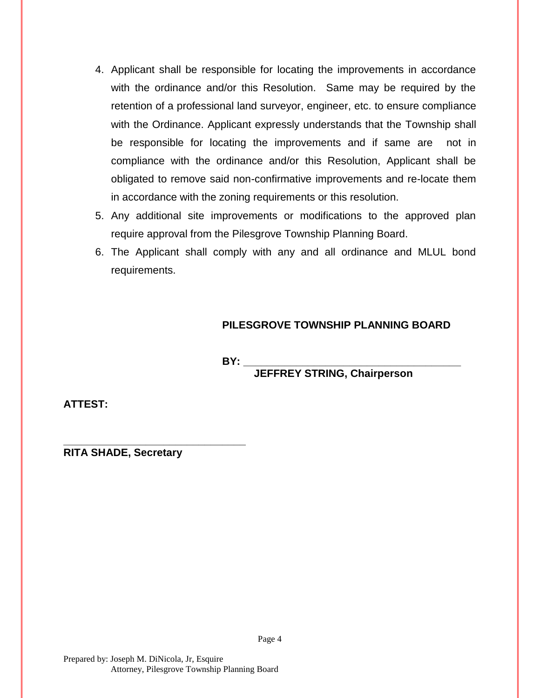- 4. Applicant shall be responsible for locating the improvements in accordance with the ordinance and/or this Resolution. Same may be required by the retention of a professional land surveyor, engineer, etc. to ensure compliance with the Ordinance. Applicant expressly understands that the Township shall be responsible for locating the improvements and if same are not in compliance with the ordinance and/or this Resolution, Applicant shall be obligated to remove said non-confirmative improvements and re-locate them in accordance with the zoning requirements or this resolution.
- 5. Any additional site improvements or modifications to the approved plan require approval from the Pilesgrove Township Planning Board.
- 6. The Applicant shall comply with any and all ordinance and MLUL bond requirements.

## **PILESGROVE TOWNSHIP PLANNING BOARD**

**BY: \_\_\_\_\_\_\_\_\_\_\_\_\_\_\_\_\_\_\_\_\_\_\_\_\_\_\_\_\_\_\_\_\_\_\_\_\_**

**JEFFREY STRING, Chairperson**

**ATTEST:**

**\_\_\_\_\_\_\_\_\_\_\_\_\_\_\_\_\_\_\_\_\_\_\_\_\_\_\_\_\_\_\_ RITA SHADE, Secretary**